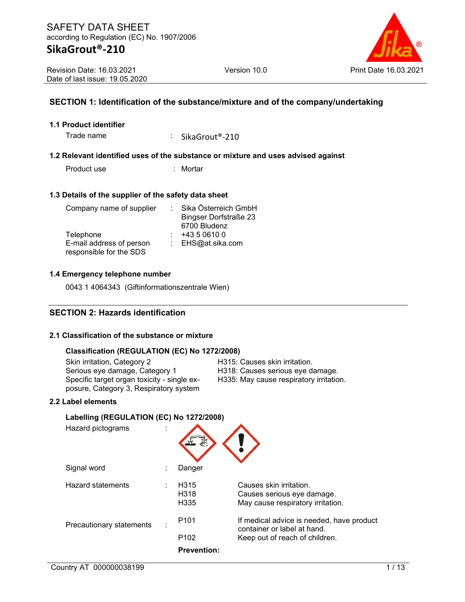### **SECTION 1: Identification of the substance/mixture and of the company/undertaking**

#### **1.1 Product identifier**

Trade name : SikaGrout®-210

#### **1.2 Relevant identified uses of the substance or mixture and uses advised against**

Product use : Mortar

#### **1.3 Details of the supplier of the safety data sheet**

| Company name of supplier | Sika Österreich GmbH         |
|--------------------------|------------------------------|
|                          | <b>Bingser Dorfstraße 23</b> |
|                          | 6700 Bludenz                 |
| Telephone                | +43 5 0610 0                 |
| E-mail address of person | : EHS@at.sika.com            |
| responsible for the SDS  |                              |

#### **1.4 Emergency telephone number**

0043 1 4064343 (Giftinformationszentrale Wien)

### **SECTION 2: Hazards identification**

#### **2.1 Classification of the substance or mixture**

### **Classification (REGULATION (EC) No 1272/2008)**

Skin irritation, Category 2 **H315: Causes skin irritation.**<br>Serious eye damage, Category 1 H318: Causes serious eye d Specific target organ toxicity - single exposure, Category 3, Respiratory system

H318: Causes serious eye damage. H335: May cause respiratory irritation.

### **2.2 Label elements**

| Labelling (REGULATION (EC) No 1272/2008) |   |                                                          |                                                                                                            |  |  |  |  |  |
|------------------------------------------|---|----------------------------------------------------------|------------------------------------------------------------------------------------------------------------|--|--|--|--|--|
| Hazard pictograms                        |   |                                                          |                                                                                                            |  |  |  |  |  |
| Signal word                              |   | Danger                                                   |                                                                                                            |  |  |  |  |  |
| Hazard statements                        |   | H <sub>315</sub><br>H <sub>318</sub><br>H <sub>335</sub> | Causes skin irritation.<br>Causes serious eye damage.<br>May cause respiratory irritation.                 |  |  |  |  |  |
| Precautionary statements                 | ٠ | P <sub>101</sub><br>P <sub>102</sub>                     | If medical advice is needed, have product<br>container or label at hand.<br>Keep out of reach of children. |  |  |  |  |  |
|                                          |   | <b>Prevention:</b>                                       |                                                                                                            |  |  |  |  |  |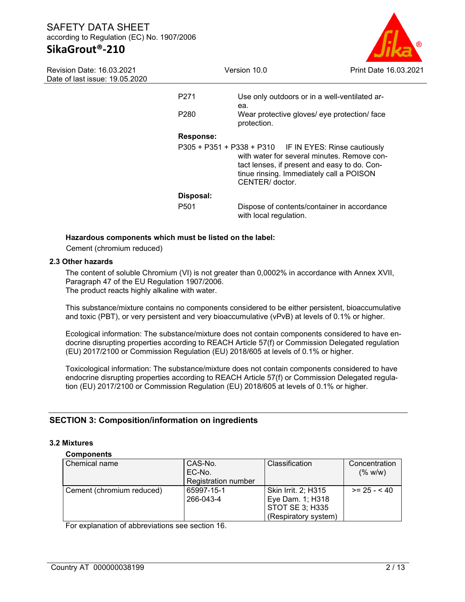# **SikaGrout®-210**

|                  | Print Date 16.03.2021                                                                                                                                      |                                                                        |
|------------------|------------------------------------------------------------------------------------------------------------------------------------------------------------|------------------------------------------------------------------------|
| P <sub>271</sub> | Use only outdoors or in a well-ventilated ar-                                                                                                              |                                                                        |
| P <sub>280</sub> | ea.<br>Wear protective gloves/ eye protection/ face<br>protection.                                                                                         |                                                                        |
| <b>Response:</b> |                                                                                                                                                            |                                                                        |
|                  | with water for several minutes. Remove con-<br>tact lenses, if present and easy to do. Con-<br>tinue rinsing. Immediately call a POISON<br>CENTER/ doctor. |                                                                        |
| Disposal:        |                                                                                                                                                            |                                                                        |
| P <sub>501</sub> | Dispose of contents/container in accordance<br>with local regulation.                                                                                      |                                                                        |
|                  |                                                                                                                                                            | Version 10.0<br>P305 + P351 + P338 + P310 IF IN EYES: Rinse cautiously |

#### **Hazardous components which must be listed on the label:**

Cement (chromium reduced)

### **2.3 Other hazards**

The content of soluble Chromium (VI) is not greater than 0,0002% in accordance with Annex XVII, Paragraph 47 of the EU Regulation 1907/2006. The product reacts highly alkaline with water.

This substance/mixture contains no components considered to be either persistent, bioaccumulative and toxic (PBT), or very persistent and very bioaccumulative (vPvB) at levels of 0.1% or higher.

Ecological information: The substance/mixture does not contain components considered to have endocrine disrupting properties according to REACH Article 57(f) or Commission Delegated regulation (EU) 2017/2100 or Commission Regulation (EU) 2018/605 at levels of 0.1% or higher.

Toxicological information: The substance/mixture does not contain components considered to have endocrine disrupting properties according to REACH Article 57(f) or Commission Delegated regulation (EU) 2017/2100 or Commission Regulation (EU) 2018/605 at levels of 0.1% or higher.

### **SECTION 3: Composition/information on ingredients**

#### **3.2 Mixtures**

#### **Components**

| Chemical name             | CAS-No.             | Classification         | Concentration |
|---------------------------|---------------------|------------------------|---------------|
|                           | EC-No.              |                        | (% w/w)       |
|                           | Registration number |                        |               |
| Cement (chromium reduced) | 65997-15-1          | Skin Irrit. 2; H315    | $>= 25 - 40$  |
|                           | 266-043-4           | Eye Dam. 1; H318       |               |
|                           |                     | <b>STOT SE 3; H335</b> |               |
|                           |                     | (Respiratory system)   |               |

For explanation of abbreviations see section 16.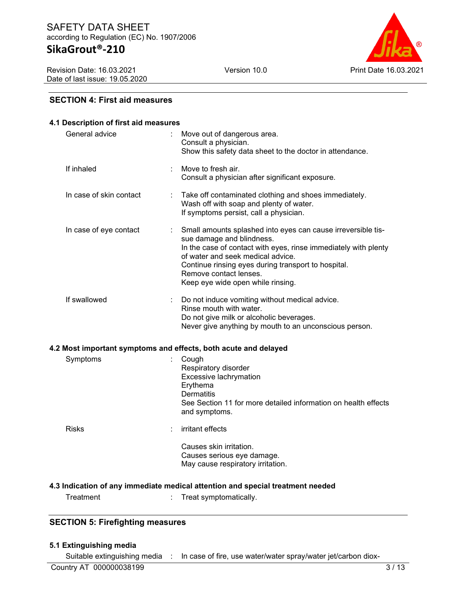Revision Date: 16.03.2021 Date of last issue: 19.05.2020



#### **SECTION 4: First aid measures**

| 4.1 Description of first aid measures                                          |   |                                                                                                                                                                                                                                                                                                                         |  |  |  |  |  |  |
|--------------------------------------------------------------------------------|---|-------------------------------------------------------------------------------------------------------------------------------------------------------------------------------------------------------------------------------------------------------------------------------------------------------------------------|--|--|--|--|--|--|
| General advice                                                                 |   | Move out of dangerous area.<br>Consult a physician.<br>Show this safety data sheet to the doctor in attendance.                                                                                                                                                                                                         |  |  |  |  |  |  |
| If inhaled                                                                     |   | Move to fresh air.<br>Consult a physician after significant exposure.                                                                                                                                                                                                                                                   |  |  |  |  |  |  |
| In case of skin contact                                                        | t | Take off contaminated clothing and shoes immediately.<br>Wash off with soap and plenty of water.<br>If symptoms persist, call a physician.                                                                                                                                                                              |  |  |  |  |  |  |
| In case of eye contact                                                         |   | Small amounts splashed into eyes can cause irreversible tis-<br>sue damage and blindness.<br>In the case of contact with eyes, rinse immediately with plenty<br>of water and seek medical advice.<br>Continue rinsing eyes during transport to hospital.<br>Remove contact lenses.<br>Keep eye wide open while rinsing. |  |  |  |  |  |  |
| If swallowed                                                                   |   | Do not induce vomiting without medical advice.<br>Rinse mouth with water.<br>Do not give milk or alcoholic beverages.<br>Never give anything by mouth to an unconscious person.                                                                                                                                         |  |  |  |  |  |  |
| 4.2 Most important symptoms and effects, both acute and delayed                |   |                                                                                                                                                                                                                                                                                                                         |  |  |  |  |  |  |
| Symptoms                                                                       |   | Cough<br>Respiratory disorder<br>Excessive lachrymation<br>Erythema<br>Dermatitis<br>See Section 11 for more detailed information on health effects<br>and symptoms.                                                                                                                                                    |  |  |  |  |  |  |
| <b>Risks</b>                                                                   |   | irritant effects                                                                                                                                                                                                                                                                                                        |  |  |  |  |  |  |
|                                                                                |   | Causes skin irritation.<br>Causes serious eye damage.<br>May cause respiratory irritation.                                                                                                                                                                                                                              |  |  |  |  |  |  |
| 4.3 Indication of any immediate medical attention and special treatment needed |   |                                                                                                                                                                                                                                                                                                                         |  |  |  |  |  |  |
| Treatment                                                                      |   | Treat symptomatically.                                                                                                                                                                                                                                                                                                  |  |  |  |  |  |  |

### **SECTION 5: Firefighting measures**

#### **5.1 Extinguishing media**

Suitable extinguishing media : In case of fire, use water/water spray/water jet/carbon diox-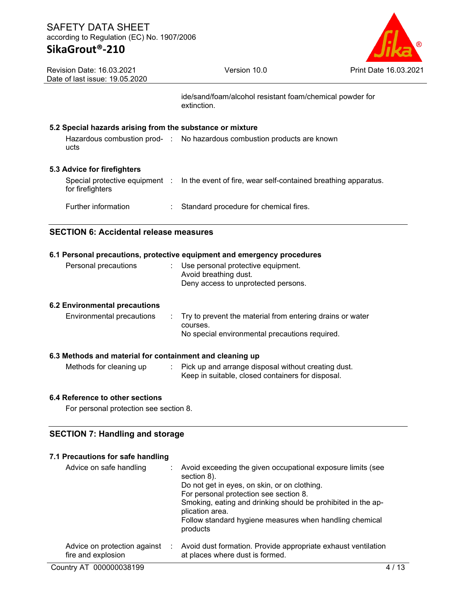

| <b>Revision Date: 16.03.2021</b> |
|----------------------------------|
| Date of last issue: 19.05.2020   |

ide/sand/foam/alcohol resistant foam/chemical powder for extinction.

### **5.2 Special hazards arising from the substance or mixture**

|      | Hazardous combustion prod- : No hazardous combustion products are known |
|------|-------------------------------------------------------------------------|
| ucts |                                                                         |
|      |                                                                         |

### **5.3 Advice for firefighters**

| for firefighters    | Special protective equipment : In the event of fire, wear self-contained breathing apparatus. |
|---------------------|-----------------------------------------------------------------------------------------------|
| Further information | : Standard procedure for chemical fires.                                                      |

### **SECTION 6: Accidental release measures**

#### **6.1 Personal precautions, protective equipment and emergency procedures**

| Personal precautions          | : Use personal protective equipment.<br>Avoid breathing dust.<br>Deny access to unprotected persons. |  |
|-------------------------------|------------------------------------------------------------------------------------------------------|--|
| 6.2 Environmental precautions |                                                                                                      |  |

#### Environmental precautions : Try to prevent the material from entering drains or water courses. No special environmental precautions required.

### **6.3 Methods and material for containment and cleaning up**

Methods for cleaning up : Pick up and arrange disposal without creating dust. Keep in suitable, closed containers for disposal.

### **6.4 Reference to other sections**

For personal protection see section 8.

### **SECTION 7: Handling and storage**

#### **7.1 Precautions for safe handling**

| Advice on safe handling                            |   | Avoid exceeding the given occupational exposure limits (see<br>section 8).<br>Do not get in eyes, on skin, or on clothing.<br>For personal protection see section 8.<br>Smoking, eating and drinking should be prohibited in the ap-<br>plication area.<br>Follow standard hygiene measures when handling chemical<br>products |
|----------------------------------------------------|---|--------------------------------------------------------------------------------------------------------------------------------------------------------------------------------------------------------------------------------------------------------------------------------------------------------------------------------|
| Advice on protection against<br>fire and explosion | ÷ | Avoid dust formation. Provide appropriate exhaust ventilation<br>at places where dust is formed.                                                                                                                                                                                                                               |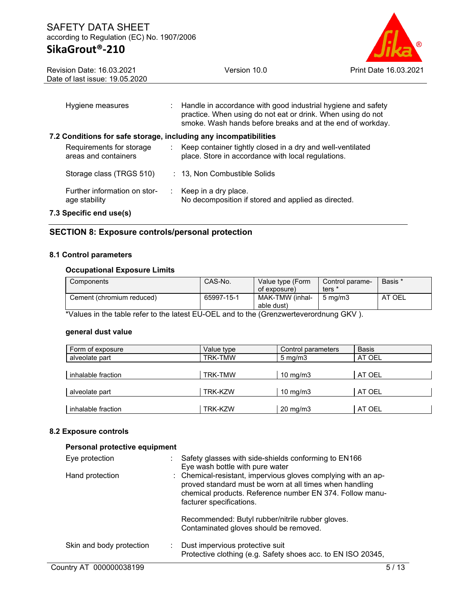Revision Date: 16.03.2021 Date of last issue: 19.05.2020



| Hygiene measures                                                 | Handle in accordance with good industrial hygiene and safety<br>practice. When using do not eat or drink. When using do not<br>smoke. Wash hands before breaks and at the end of workday. |
|------------------------------------------------------------------|-------------------------------------------------------------------------------------------------------------------------------------------------------------------------------------------|
| 7.2 Conditions for safe storage, including any incompatibilities |                                                                                                                                                                                           |
| Requirements for storage<br>areas and containers                 | Keep container tightly closed in a dry and well-ventilated<br>place. Store in accordance with local regulations.                                                                          |
| Storage class (TRGS 510)                                         | : 13, Non Combustible Solids                                                                                                                                                              |
| Further information on stor-<br>age stability                    | $\therefore$ Keep in a dry place.<br>No decomposition if stored and applied as directed.                                                                                                  |
| 7.3 Specific end use(s)                                          |                                                                                                                                                                                           |

### **SECTION 8: Exposure controls/personal protection**

#### **8.1 Control parameters**

#### **Occupational Exposure Limits**

| Components                | CAS-No.    | Value type (Form<br>of exposure) | Control parame-<br>ters' | Basis * |
|---------------------------|------------|----------------------------------|--------------------------|---------|
| Cement (chromium reduced) | 65997-15-1 | MAK-TMW (inhal-<br>able dust)    | $5 \text{ ma/m}$         | AT OEL  |

\*Values in the table refer to the latest EU-OEL and to the (Grenzwerteverordnung GKV ).

#### **general dust value**

| Form of exposure   | Value type | Control parameters  | <b>Basis</b> |
|--------------------|------------|---------------------|--------------|
| alveolate part     | TRK-TMW    | $5 \text{ mg/m}$    | AT OEL       |
|                    |            |                     |              |
| inhalable fraction | TRK-TMW    | $10 \text{ mg/m}$   | AT OEL       |
|                    |            |                     |              |
| alveolate part     | TRK-KZW    | $10 \text{ mg/m}$   | AT OEL       |
|                    |            |                     |              |
| inhalable fraction | TRK-KZW    | $20 \text{ mg/m}$ 3 | AT OEL       |

### **8.2 Exposure controls**

| Personal protective equipment |                                                                                                                                                                                                                  |
|-------------------------------|------------------------------------------------------------------------------------------------------------------------------------------------------------------------------------------------------------------|
| Eye protection                | Safety glasses with side-shields conforming to EN166<br>Eye wash bottle with pure water                                                                                                                          |
| Hand protection               | : Chemical-resistant, impervious gloves complying with an ap-<br>proved standard must be worn at all times when handling<br>chemical products. Reference number EN 374. Follow manu-<br>facturer specifications. |
|                               | Recommended: Butyl rubber/nitrile rubber gloves.<br>Contaminated gloves should be removed.                                                                                                                       |
| Skin and body protection      | Dust impervious protective suit<br>÷<br>Protective clothing (e.g. Safety shoes acc. to EN ISO 20345,                                                                                                             |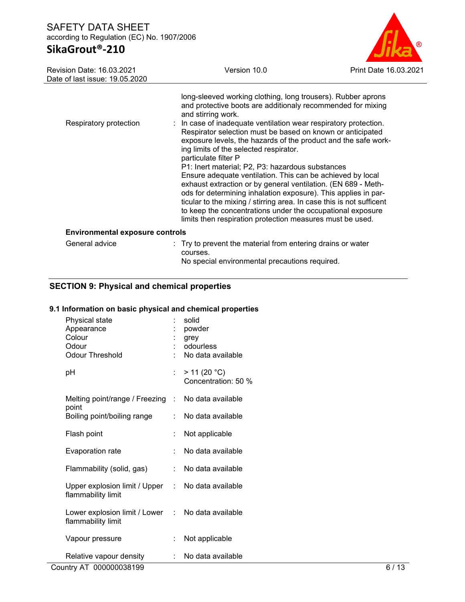# **SikaGrout®-210**



| Revision Date: 16.03.2021      | Version 10.0 | Print |
|--------------------------------|--------------|-------|
| Date of last issue: 19.05.2020 |              |       |

| Respiratory protection                 | long-sleeved working clothing, long trousers). Rubber aprons<br>and protective boots are additionaly recommended for mixing<br>and stirring work.<br>: In case of inadequate ventilation wear respiratory protection.<br>Respirator selection must be based on known or anticipated<br>exposure levels, the hazards of the product and the safe work-<br>ing limits of the selected respirator.<br>particulate filter P<br>P1: Inert material; P2, P3: hazardous substances<br>Ensure adequate ventilation. This can be achieved by local |
|----------------------------------------|-------------------------------------------------------------------------------------------------------------------------------------------------------------------------------------------------------------------------------------------------------------------------------------------------------------------------------------------------------------------------------------------------------------------------------------------------------------------------------------------------------------------------------------------|
|                                        | exhaust extraction or by general ventilation. (EN 689 - Meth-<br>ods for determining inhalation exposure). This applies in par-<br>ticular to the mixing / stirring area. In case this is not sufficent<br>to keep the concentrations under the occupational exposure<br>limits then respiration protection measures must be used.                                                                                                                                                                                                        |
| <b>Environmental exposure controls</b> |                                                                                                                                                                                                                                                                                                                                                                                                                                                                                                                                           |
| General advice                         | : Try to prevent the material from entering drains or water<br>courses.                                                                                                                                                                                                                                                                                                                                                                                                                                                                   |

No special environmental precautions required.

# **SECTION 9: Physical and chemical properties**

#### **9.1 Information on basic physical and chemical properties**

| Physical state<br>Appearance<br>Colour<br>Odour<br>Odour Threshold |     | solid<br>powder<br>grey<br>odourless<br>No data available |
|--------------------------------------------------------------------|-----|-----------------------------------------------------------|
| рH                                                                 | t.  | > 11 (20 °C)<br>Concentration: 50 %                       |
| Melting point/range / Freezing                                     |     | : No data available                                       |
| point<br>Boiling point/boiling range                               | × 1 | No data available                                         |
| Flash point                                                        | ÷   | Not applicable                                            |
| Evaporation rate                                                   | t   | No data available                                         |
| Flammability (solid, gas)                                          | t.  | No data available                                         |
| Upper explosion limit / Upper<br>flammability limit                |     | : No data available                                       |
| Lower explosion limit / Lower<br>flammability limit                | t.  | No data available                                         |
| Vapour pressure                                                    | t.  | Not applicable                                            |
| Relative vapour density                                            | t.  | No data available                                         |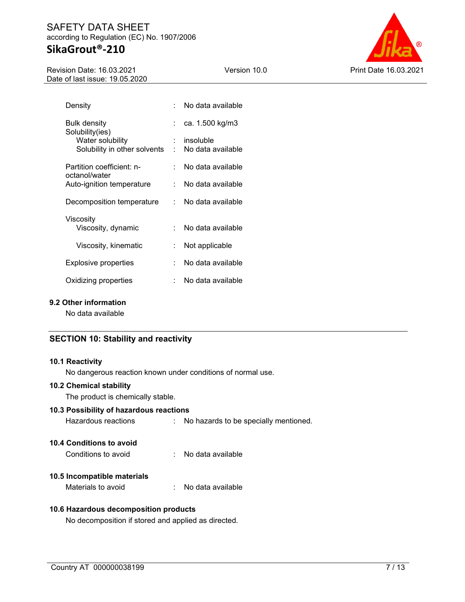### SAFETY DATA SHEET according to Regulation (EC) No. 1907/2006 **SikaGrout®-210**

#### Revision Date: 16.03.2021 Date of last issue: 19.05.2020





| Density                                    |          | No data available |
|--------------------------------------------|----------|-------------------|
| Bulk density<br>Solubility(ies)            | t i      | ca. 1.500 kg/m3   |
| Water solubility                           | t.       | insoluble         |
| Solubility in other solvents               | <b>.</b> | No data available |
| Partition coefficient: n-<br>octanol/water | × 1      | No data available |
| Auto-ignition temperature                  |          | No data available |
| Decomposition temperature                  | × 1      | No data available |
| Viscosity                                  |          |                   |
| Viscosity, dynamic                         | t.       | No data available |
| Viscosity, kinematic                       |          | Not applicable    |
| Explosive properties                       | t.       | No data available |
| Oxidizing properties                       |          | No data available |

#### **9.2 Other information**

No data available

### **SECTION 10: Stability and reactivity**

#### **10.1 Reactivity**

No dangerous reaction known under conditions of normal use.

#### **10.2 Chemical stability**

The product is chemically stable.

### **10.3 Possibility of hazardous reactions**

```
Hazardous reactions : No hazards to be specially mentioned.
```
### **10.4 Conditions to avoid**

| Conditions to avoid |  | No data available |
|---------------------|--|-------------------|
|---------------------|--|-------------------|

### **10.5 Incompatible materials**

Materials to avoid : No data available

#### **10.6 Hazardous decomposition products**

No decomposition if stored and applied as directed.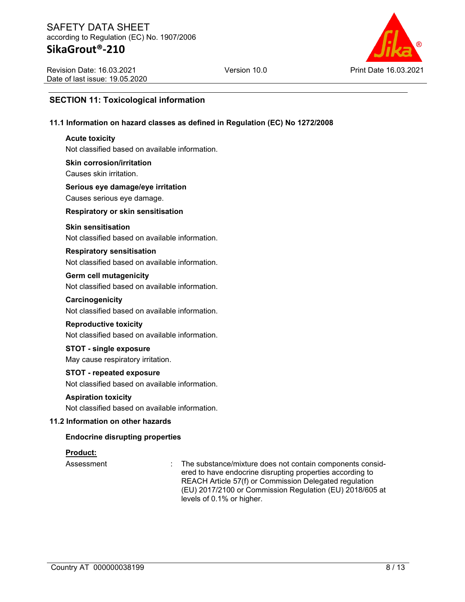Revision Date: 16.03.2021 Date of last issue: 19.05.2020



### **SECTION 11: Toxicological information**

#### **11.1 Information on hazard classes as defined in Regulation (EC) No 1272/2008**

#### **Acute toxicity**

Not classified based on available information.

#### **Skin corrosion/irritation** Causes skin irritation.

# **Serious eye damage/eye irritation**

Causes serious eye damage.

#### **Respiratory or skin sensitisation**

#### **Skin sensitisation**

Not classified based on available information.

# **Respiratory sensitisation**

Not classified based on available information.

### **Germ cell mutagenicity**

Not classified based on available information.

### **Carcinogenicity**

Not classified based on available information.

#### **Reproductive toxicity**

Not classified based on available information.

# **STOT - single exposure**

May cause respiratory irritation.

### **STOT - repeated exposure**

Not classified based on available information.

#### **Aspiration toxicity**

Not classified based on available information.

### **11.2 Information on other hazards**

### **Endocrine disrupting properties**

### **Product:**

Assessment : The substance/mixture does not contain components considered to have endocrine disrupting properties according to REACH Article 57(f) or Commission Delegated regulation (EU) 2017/2100 or Commission Regulation (EU) 2018/605 at levels of 0.1% or higher.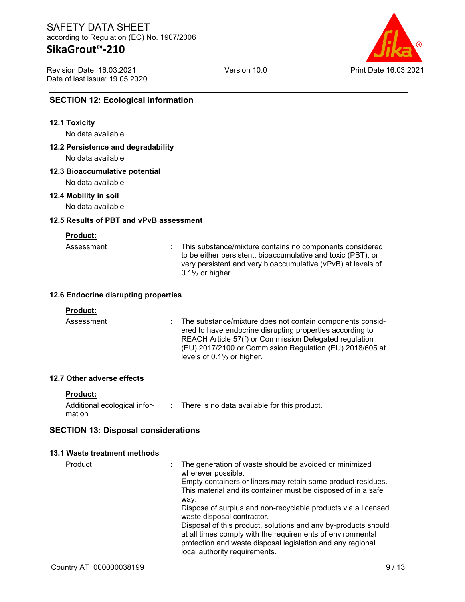Revision Date: 16.03.2021 Date of last issue: 19.05.2020



### **SECTION 12: Ecological information**

#### **12.1 Toxicity**

No data available

# **12.2 Persistence and degradability**

No data available

#### **12.3 Bioaccumulative potential**

No data available

#### **12.4 Mobility in soil**

No data available

#### **12.5 Results of PBT and vPvB assessment**

**Product:**

| Assessment |  |
|------------|--|
|            |  |

: This substance/mixture contains no components considered to be either persistent, bioaccumulative and toxic (PBT), or very persistent and very bioaccumulative (vPvB) at levels of 0.1% or higher..

#### **12.6 Endocrine disrupting properties**

#### **Product:**

Assessment : The substance/mixture does not contain components considered to have endocrine disrupting properties according to REACH Article 57(f) or Commission Delegated regulation (EU) 2017/2100 or Commission Regulation (EU) 2018/605 at levels of 0.1% or higher.

#### **12.7 Other adverse effects**

#### **Product:**

| Additional ecological infor- |  | : There is no data available for this product. |  |  |
|------------------------------|--|------------------------------------------------|--|--|
| mation                       |  |                                                |  |  |

### **SECTION 13: Disposal considerations**

#### **13.1 Waste treatment methods**

| Product | The generation of waste should be avoided or minimized<br>wherever possible.                |
|---------|---------------------------------------------------------------------------------------------|
|         | Empty containers or liners may retain some product residues.                                |
|         | This material and its container must be disposed of in a safe                               |
|         | way.                                                                                        |
|         | Dispose of surplus and non-recyclable products via a licensed<br>waste disposal contractor. |
|         | Disposal of this product, solutions and any by-products should                              |
|         | at all times comply with the requirements of environmental                                  |
|         | protection and waste disposal legislation and any regional                                  |
|         | local authority requirements.                                                               |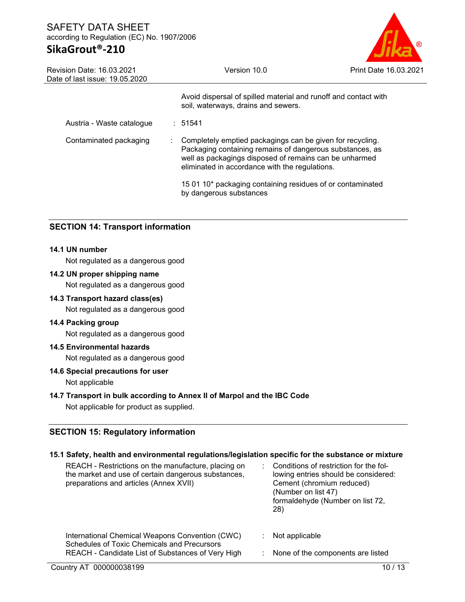# **SikaGrout®-210**



| <b>Revision Date: 16.03.2021</b><br>Date of last issue: 19.05.2020 |  | Version 10.0                                                                                                                                                                                                                      | Print Date 16.03.2021 |  |  |
|--------------------------------------------------------------------|--|-----------------------------------------------------------------------------------------------------------------------------------------------------------------------------------------------------------------------------------|-----------------------|--|--|
|                                                                    |  | Avoid dispersal of spilled material and runoff and contact with<br>soil, waterways, drains and sewers.                                                                                                                            |                       |  |  |
| Austria - Waste catalogue                                          |  | : 51541                                                                                                                                                                                                                           |                       |  |  |
| Contaminated packaging                                             |  | Completely emptied packagings can be given for recycling.<br>Packaging containing remains of dangerous substances, as<br>well as packagings disposed of remains can be unharmed<br>eliminated in accordance with the regulations. |                       |  |  |
|                                                                    |  | 15 01 10* packaging containing residues of or contaminated<br>by dangerous substances                                                                                                                                             |                       |  |  |

### **SECTION 14: Transport information**

### **14.1 UN number**

Not regulated as a dangerous good

### **14.2 UN proper shipping name**

Not regulated as a dangerous good

#### **14.3 Transport hazard class(es)**

Not regulated as a dangerous good

#### **14.4 Packing group**

Not regulated as a dangerous good

#### **14.5 Environmental hazards**

Not regulated as a dangerous good

#### **14.6 Special precautions for user**

Not applicable

#### **14.7 Transport in bulk according to Annex II of Marpol and the IBC Code**

Not applicable for product as supplied.

### **SECTION 15: Regulatory information**

#### **15.1 Safety, health and environmental regulations/legislation specific for the substance or mixture**

| REACH - Restrictions on the manufacture, placing on<br>the market and use of certain dangerous substances,<br>preparations and articles (Annex XVII) | Conditions of restriction for the fol-<br>lowing entries should be considered:<br>Cement (chromium reduced)<br>(Number on list 47)<br>formaldehyde (Number on list 72,<br>28) |
|------------------------------------------------------------------------------------------------------------------------------------------------------|-------------------------------------------------------------------------------------------------------------------------------------------------------------------------------|
| International Chemical Weapons Convention (CWC)<br><b>Schedules of Toxic Chemicals and Precursors</b>                                                | Not applicable                                                                                                                                                                |
| REACH - Candidate List of Substances of Very High                                                                                                    | : None of the components are listed                                                                                                                                           |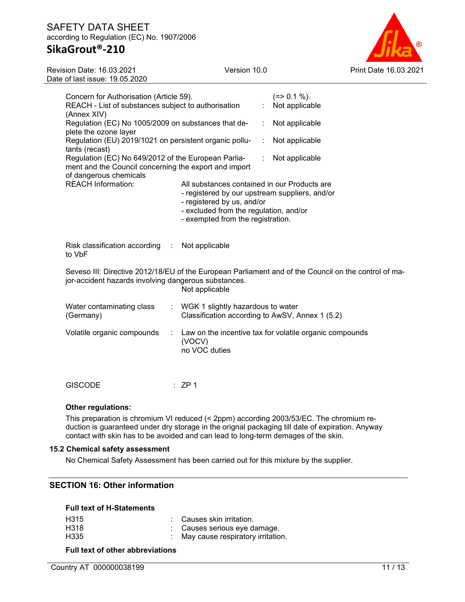# **SikaGrout®-210**

Revision Date: 16.03.2021 Date of last issue: 19.05.2020 Version 10.0 Print Date 16.03.2021

|                                                                                                                                                                                | Concern for Authorisation (Article 59).<br>REACH - List of substances subject to authorisation<br>(Annex XIV)                          |                                                                                                                                                                                                             |   | $(=>0.1\%)$ .<br>Not applicable                         |  |
|--------------------------------------------------------------------------------------------------------------------------------------------------------------------------------|----------------------------------------------------------------------------------------------------------------------------------------|-------------------------------------------------------------------------------------------------------------------------------------------------------------------------------------------------------------|---|---------------------------------------------------------|--|
|                                                                                                                                                                                | Regulation (EC) No 1005/2009 on substances that de-<br>plete the ozone layer                                                           |                                                                                                                                                                                                             | ÷ | Not applicable                                          |  |
|                                                                                                                                                                                | Regulation (EU) 2019/1021 on persistent organic pollu-<br>tants (recast)                                                               |                                                                                                                                                                                                             | ÷ | Not applicable                                          |  |
|                                                                                                                                                                                | Regulation (EC) No 649/2012 of the European Parlia-<br>ment and the Council concerning the export and import<br>of dangerous chemicals |                                                                                                                                                                                                             | ÷ | Not applicable                                          |  |
|                                                                                                                                                                                | <b>REACH Information:</b>                                                                                                              | All substances contained in our Products are<br>- registered by our upstream suppliers, and/or<br>- registered by us, and/or<br>- excluded from the regulation, and/or<br>- exempted from the registration. |   |                                                         |  |
|                                                                                                                                                                                | Risk classification according<br>$\langle \cdot \rangle$<br>to VbF                                                                     | Not applicable                                                                                                                                                                                              |   |                                                         |  |
| Seveso III: Directive 2012/18/EU of the European Parliament and of the Council on the control of ma-<br>jor-accident hazards involving dangerous substances.<br>Not applicable |                                                                                                                                        |                                                                                                                                                                                                             |   |                                                         |  |
|                                                                                                                                                                                | Water contaminating class<br>÷<br>(Germany)                                                                                            | WGK 1 slightly hazardous to water<br>Classification according to AwSV, Annex 1 (5.2)                                                                                                                        |   |                                                         |  |
|                                                                                                                                                                                | Volatile organic compounds<br>÷                                                                                                        | (VOCV)<br>no VOC duties                                                                                                                                                                                     |   | Law on the incentive tax for volatile organic compounds |  |
|                                                                                                                                                                                |                                                                                                                                        |                                                                                                                                                                                                             |   |                                                         |  |

GISCODE : ZP 1

#### **Other regulations:**

This preparation is chromium VI reduced (< 2ppm) according 2003/53/EC. The chromium reduction is guaranteed under dry storage in the orignal packaging till date of expiration. Anyway contact with skin has to be avoided and can lead to long-term demages of the skin.

#### **15.2 Chemical safety assessment**

No Chemical Safety Assessment has been carried out for this mixture by the supplier.

# **SECTION 16: Other information**

#### **Full text of H-Statements**

| H <sub>315</sub><br>H318<br>H335 |  | : Causes skin irritation.<br>: Causes serious eye damage.<br>: May cause respiratory irritation. |
|----------------------------------|--|--------------------------------------------------------------------------------------------------|
|----------------------------------|--|--------------------------------------------------------------------------------------------------|

**Full text of other abbreviations**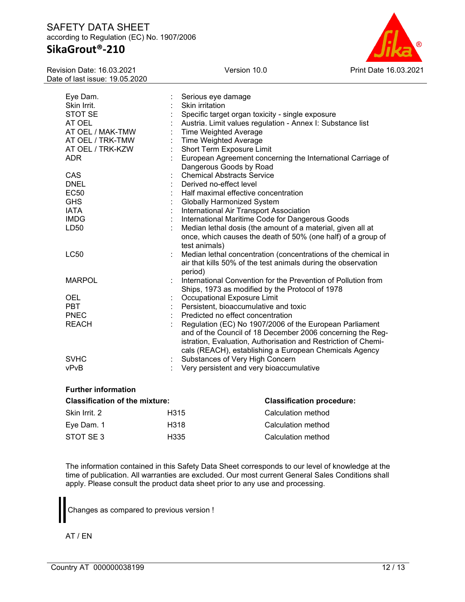# **SikaGrout®-210**

Revision Date: 16.03.2021 Date of last issue: 19.05.2020



| Eye Dam.<br>Skin Irrit. |    | Serious eye damage<br>Skin irritation                          |
|-------------------------|----|----------------------------------------------------------------|
| STOT SE                 |    | Specific target organ toxicity - single exposure               |
| AT OEL                  |    | Austria. Limit values regulation - Annex I: Substance list     |
| AT OEL / MAK-TMW        |    | <b>Time Weighted Average</b>                                   |
|                         |    | <b>Time Weighted Average</b>                                   |
| AT OEL / TRK-TMW        |    |                                                                |
| AT OEL / TRK-KZW        |    | Short Term Exposure Limit                                      |
| <b>ADR</b>              |    | European Agreement concerning the International Carriage of    |
|                         |    | Dangerous Goods by Road                                        |
| <b>CAS</b>              |    | <b>Chemical Abstracts Service</b>                              |
| <b>DNEL</b>             |    | Derived no-effect level                                        |
| <b>EC50</b>             |    | Half maximal effective concentration                           |
| <b>GHS</b>              |    | <b>Globally Harmonized System</b>                              |
| <b>IATA</b>             |    | International Air Transport Association                        |
| <b>IMDG</b>             |    | International Maritime Code for Dangerous Goods                |
| LD50                    |    | Median lethal dosis (the amount of a material, given all at    |
|                         |    | once, which causes the death of 50% (one half) of a group of   |
|                         |    | test animals)                                                  |
| <b>LC50</b>             | t. | Median lethal concentration (concentrations of the chemical in |
|                         |    | air that kills 50% of the test animals during the observation  |
|                         |    | period)                                                        |
| <b>MARPOL</b>           |    | International Convention for the Prevention of Pollution from  |
|                         |    | Ships, 1973 as modified by the Protocol of 1978                |
| OEL                     |    | Occupational Exposure Limit                                    |
| <b>PBT</b>              |    | Persistent, bioaccumulative and toxic                          |
| <b>PNEC</b>             |    | Predicted no effect concentration                              |
| <b>REACH</b>            |    | Regulation (EC) No 1907/2006 of the European Parliament        |
|                         |    | and of the Council of 18 December 2006 concerning the Reg-     |
|                         |    | istration, Evaluation, Authorisation and Restriction of Chemi- |
|                         |    | cals (REACH), establishing a European Chemicals Agency         |
| <b>SVHC</b>             |    | Substances of Very High Concern                                |
| vPvB                    |    | Very persistent and very bioaccumulative                       |
|                         |    |                                                                |

### **Further information**

| <b>Classification of the mixture:</b> | <b>Classification procedure:</b> |                    |
|---------------------------------------|----------------------------------|--------------------|
| Skin Irrit. 2                         | H315                             | Calculation method |
| Eve Dam. 1                            | H318                             | Calculation method |
| STOT SE 3                             | H335                             | Calculation method |

The information contained in this Safety Data Sheet corresponds to our level of knowledge at the time of publication. All warranties are excluded. Our most current General Sales Conditions shall apply. Please consult the product data sheet prior to any use and processing.

Changes as compared to previous version !

AT / EN